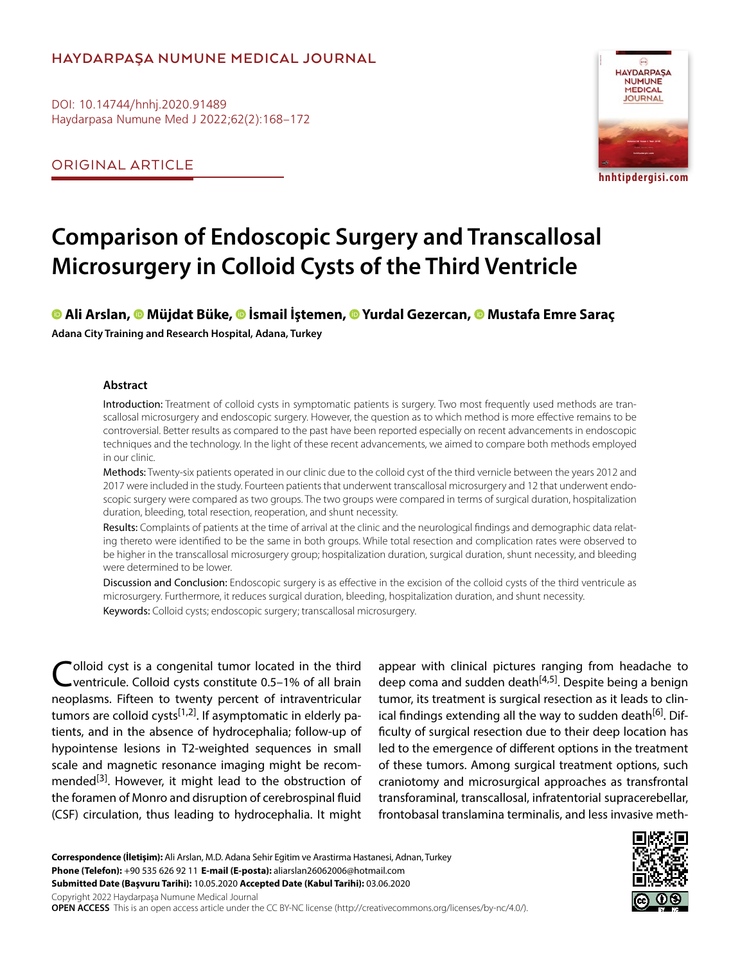### **HAYDARPAŞA NUMUNE MEDICAL JOURNAL**

DOI: 10.14744/hnhj.2020.91489 Haydarpasa Numune Med J 2022;62(2):168–172

ORIGINAL ARTICLE



**hnhtipdergisi.com**

# **Comparison of Endoscopic Surgery and Transcallosal Microsurgery in Colloid Cysts of the Third Ventricle**

#### **Ali Arslan, [M](https://orcid.org/0000-0002-8500-6043
)üjdat Büke,İsmail İştemen,Yurdal Gezercan,Mustafa Emre Saraç Adana City Training and Research Hospital, Adana, Turkey**

#### **Abstract**

Introduction: Treatment of colloid cysts in symptomatic patients is surgery. Two most frequently used methods are transcallosal microsurgery and endoscopic surgery. However, the question as to which method is more effective remains to be controversial. Better results as compared to the past have been reported especially on recent advancements in endoscopic techniques and the technology. In the light of these recent advancements, we aimed to compare both methods employed in our clinic.

Methods: Twenty-six patients operated in our clinic due to the colloid cyst of the third vernicle between the years 2012 and 2017 were included in the study. Fourteen patients that underwent transcallosal microsurgery and 12 that underwent endoscopic surgery were compared as two groups. The two groups were compared in terms of surgical duration, hospitalization duration, bleeding, total resection, reoperation, and shunt necessity.

Results: Complaints of patients at the time of arrival at the clinic and the neurological findings and demographic data relating thereto were identified to be the same in both groups. While total resection and complication rates were observed to be higher in the transcallosal microsurgery group; hospitalization duration, surgical duration, shunt necessity, and bleeding were determined to be lower.

Discussion and Conclusion: Endoscopic surgery is as effective in the excision of the colloid cysts of the third ventricule as microsurgery. Furthermore, it reduces surgical duration, bleeding, hospitalization duration, and shunt necessity.

Keywords: Colloid cysts; endoscopic surgery; transcallosal microsurgery.

Colloid cyst is a congenital tumor located in the third<br>Cventricule. Colloid cysts constitute 0.5–1% of all brain neoplasms. Fifteen to twenty percent of intraventricular tumors are colloid cysts<sup>[1,2]</sup>. If asymptomatic in elderly patients, and in the absence of hydrocephalia; follow-up of hypointense lesions in T2-weighted sequences in small scale and magnetic resonance imaging might be recommended<sup>[3]</sup>. However, it might lead to the obstruction of the foramen of Monro and disruption of cerebrospinal fluid (CSF) circulation, thus leading to hydrocephalia. It might appear with clinical pictures ranging from headache to deep coma and sudden death $[4,5]$ . Despite being a benign tumor, its treatment is surgical resection as it leads to clinical findings extending all the way to sudden death<sup>[6]</sup>. Difficulty of surgical resection due to their deep location has led to the emergence of different options in the treatment of these tumors. Among surgical treatment options, such craniotomy and microsurgical approaches as transfrontal transforaminal, transcallosal, infratentorial supracerebellar, frontobasal translamina terminalis, and less invasive meth-

**Correspondence (İletişim):** Ali Arslan, M.D. Adana Sehir Egitim ve Arastirma Hastanesi, Adnan, Turkey **Phone (Telefon):** +90 535 626 92 11 **E-mail (E-posta):** aliarslan26062006@hotmail.com **Submitted Date (Başvuru Tarihi):** 10.05.2020 **Accepted Date (Kabul Tarihi):** 03.06.2020 Copyright 2022 Haydarpaşa Numune Medical Journal **OPEN ACCESS** This is an open access article under the CC BY-NC license (http://creativecommons.org/licenses/by-nc/4.0/).

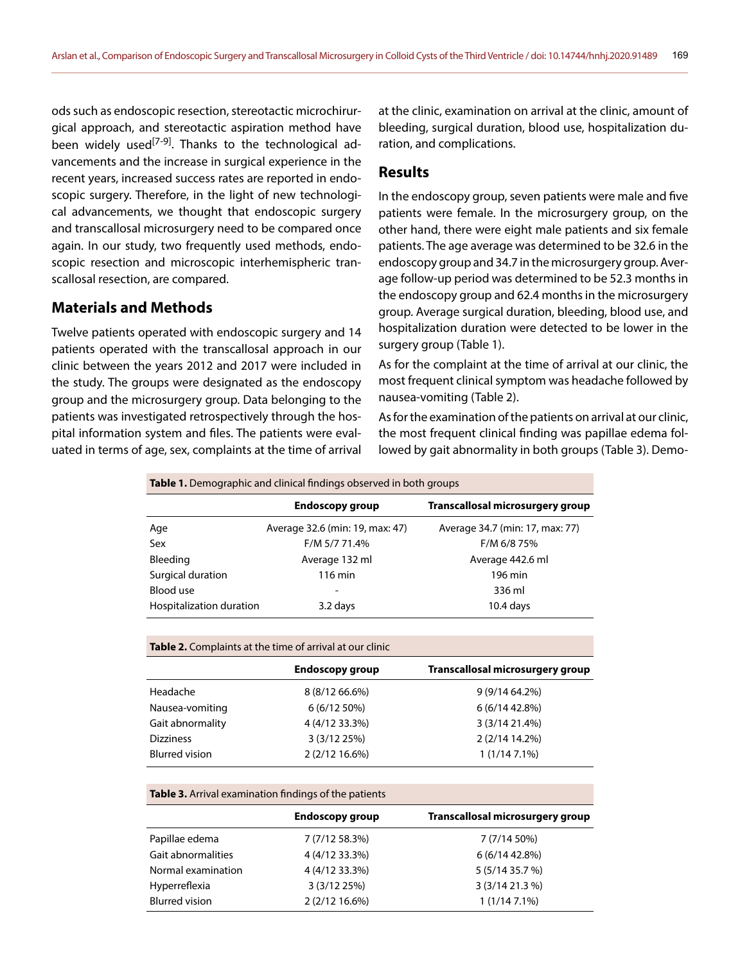ods such as endoscopic resection, stereotactic microchirurgical approach, and stereotactic aspiration method have been widely used<sup>[7-9]</sup>. Thanks to the technological advancements and the increase in surgical experience in the recent years, increased success rates are reported in endoscopic surgery. Therefore, in the light of new technological advancements, we thought that endoscopic surgery and transcallosal microsurgery need to be compared once again. In our study, two frequently used methods, endoscopic resection and microscopic interhemispheric transcallosal resection, are compared.

#### **Materials and Methods**

Twelve patients operated with endoscopic surgery and 14 patients operated with the transcallosal approach in our clinic between the years 2012 and 2017 were included in the study. The groups were designated as the endoscopy group and the microsurgery group. Data belonging to the patients was investigated retrospectively through the hospital information system and files. The patients were evaluated in terms of age, sex, complaints at the time of arrival

at the clinic, examination on arrival at the clinic, amount of bleeding, surgical duration, blood use, hospitalization duration, and complications.

#### **Results**

In the endoscopy group, seven patients were male and five patients were female. In the microsurgery group, on the other hand, there were eight male patients and six female patients. The age average was determined to be 32.6 in the endoscopy group and 34.7 in the microsurgery group. Average follow-up period was determined to be 52.3 months in the endoscopy group and 62.4 months in the microsurgery group. Average surgical duration, bleeding, blood use, and hospitalization duration were detected to be lower in the surgery group (Table 1).

As for the complaint at the time of arrival at our clinic, the most frequent clinical symptom was headache followed by nausea-vomiting (Table 2).

As for the examination of the patients on arrival at our clinic, the most frequent clinical finding was papillae edema followed by gait abnormality in both groups (Table 3). Demo-

| <b>Table 1.</b> Demographic and clinical findings observed in both groups |                                 |                                  |  |  |
|---------------------------------------------------------------------------|---------------------------------|----------------------------------|--|--|
|                                                                           | <b>Endoscopy group</b>          | Transcallosal microsurgery group |  |  |
| Age                                                                       | Average 32.6 (min: 19, max: 47) | Average 34.7 (min: 17, max: 77)  |  |  |
| Sex                                                                       | F/M 5/7 71.4%                   | F/M 6/8 75%                      |  |  |
| Bleeding                                                                  | Average 132 ml                  | Average 442.6 ml                 |  |  |
| Surgical duration                                                         | $116 \text{ min}$               | 196 min                          |  |  |
| Blood use                                                                 |                                 | 336 ml                           |  |  |
| Hospitalization duration                                                  | 3.2 days                        | $10.4$ days                      |  |  |

|  |  | <b>Table 2.</b> Complaints at the time of arrival at our clinic |
|--|--|-----------------------------------------------------------------|
|--|--|-----------------------------------------------------------------|

|                       | <b>Endoscopy group</b> | Transcallosal microsurgery group |
|-----------------------|------------------------|----------------------------------|
| Headache              | 8 (8/12 66.6%)         | 9 (9/14 64.2%)                   |
| Nausea-vomiting       | 6(6/1250%)             | 6 (6/14 42.8%)                   |
| Gait abnormality      | 4 (4/12 33.3%)         | 3 (3/14 21.4%)                   |
| <b>Dizziness</b>      | 3(3/1225%)             | 2 (2/14 14.2%)                   |
| <b>Blurred vision</b> | 2 (2/12 16.6%)         | $1(1/147.1\%)$                   |

**Table 3.** Arrival examination findings of the patients

|                       | <b>Endoscopy group</b> | Transcallosal microsurgery group |
|-----------------------|------------------------|----------------------------------|
| Papillae edema        | 7 (7/12 58.3%)         | 7 (7/14 50%)                     |
| Gait abnormalities    | 4 (4/12 33.3%)         | 6 (6/14 42.8%)                   |
| Normal examination    | 4 (4/12 33.3%)         | 5 (5/14 35.7 %)                  |
| Hyperreflexia         | 3 (3/12 25%)           | 3 (3/14 21.3 %)                  |
| <b>Blurred vision</b> | 2 (2/12 16.6%)         | $1(1/147.1\%)$                   |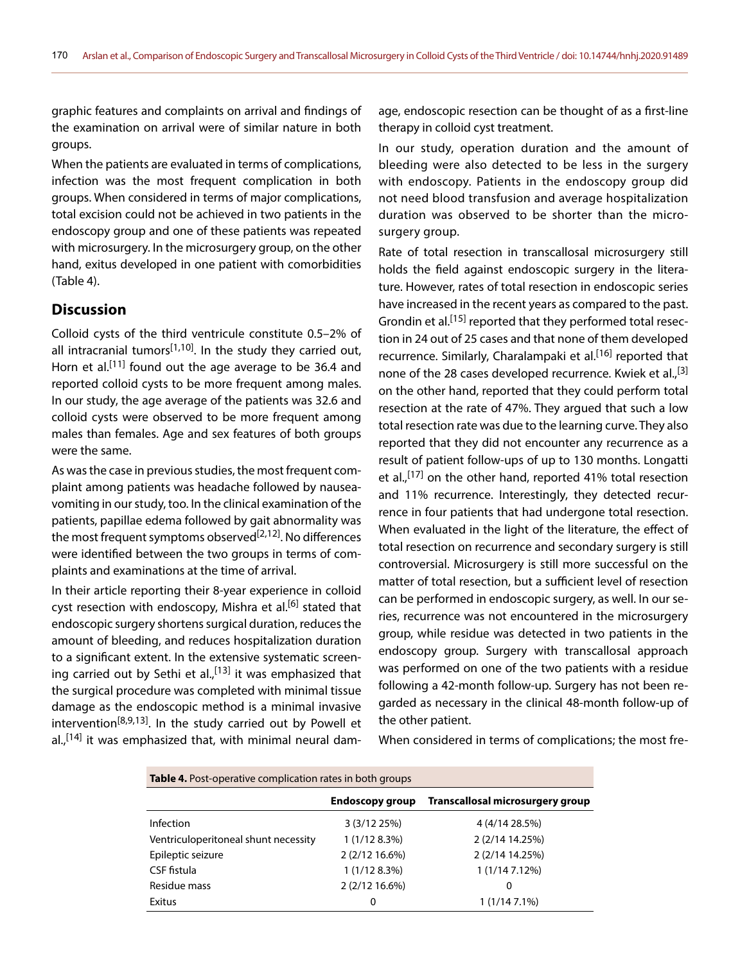graphic features and complaints on arrival and findings of the examination on arrival were of similar nature in both groups.

When the patients are evaluated in terms of complications, infection was the most frequent complication in both groups. When considered in terms of major complications, total excision could not be achieved in two patients in the endoscopy group and one of these patients was repeated with microsurgery. In the microsurgery group, on the other hand, exitus developed in one patient with comorbidities (Table 4).

#### **Discussion**

Colloid cysts of the third ventricule constitute 0.5–2% of all intracranial tumors<sup>[1,10]</sup>. In the study they carried out, Horn et al.<sup>[11]</sup> found out the age average to be 36.4 and reported colloid cysts to be more frequent among males. In our study, the age average of the patients was 32.6 and colloid cysts were observed to be more frequent among males than females. Age and sex features of both groups were the same.

As was the case in previous studies, the most frequent complaint among patients was headache followed by nauseavomiting in our study, too. In the clinical examination of the patients, papillae edema followed by gait abnormality was the most frequent symptoms observed<sup>[2,12]</sup>. No differences were identified between the two groups in terms of complaints and examinations at the time of arrival.

In their article reporting their 8-year experience in colloid cyst resection with endoscopy, Mishra et al.<sup>[6]</sup> stated that endoscopic surgery shortens surgical duration, reduces the amount of bleeding, and reduces hospitalization duration to a significant extent. In the extensive systematic screening carried out by Sethi et al.,<sup>[13]</sup> it was emphasized that the surgical procedure was completed with minimal tissue damage as the endoscopic method is a minimal invasive intervention<sup>[8,9,13]</sup>. In the study carried out by Powell et al., $[14]$  it was emphasized that, with minimal neural dam-

age, endoscopic resection can be thought of as a first-line therapy in colloid cyst treatment.

In our study, operation duration and the amount of bleeding were also detected to be less in the surgery with endoscopy. Patients in the endoscopy group did not need blood transfusion and average hospitalization duration was observed to be shorter than the microsurgery group.

Rate of total resection in transcallosal microsurgery still holds the field against endoscopic surgery in the literature. However, rates of total resection in endoscopic series have increased in the recent years as compared to the past. Grondin et al.<sup>[15]</sup> reported that they performed total resection in 24 out of 25 cases and that none of them developed recurrence. Similarly, Charalampaki et al.<sup>[16]</sup> reported that none of the 28 cases developed recurrence. Kwiek et al.,<sup>[3]</sup> on the other hand, reported that they could perform total resection at the rate of 47%. They argued that such a low total resection rate was due to the learning curve. They also reported that they did not encounter any recurrence as a result of patient follow-ups of up to 130 months. Longatti et al.,<sup>[17]</sup> on the other hand, reported 41% total resection and 11% recurrence. Interestingly, they detected recurrence in four patients that had undergone total resection. When evaluated in the light of the literature, the effect of total resection on recurrence and secondary surgery is still controversial. Microsurgery is still more successful on the matter of total resection, but a sufficient level of resection can be performed in endoscopic surgery, as well. In our series, recurrence was not encountered in the microsurgery group, while residue was detected in two patients in the endoscopy group. Surgery with transcallosal approach was performed on one of the two patients with a residue following a 42-month follow-up. Surgery has not been regarded as necessary in the clinical 48-month follow-up of the other patient.

When considered in terms of complications; the most fre-

| <b>Table 4.</b> Post-operative complication rates in both groups |                        |                                  |  |  |
|------------------------------------------------------------------|------------------------|----------------------------------|--|--|
|                                                                  | <b>Endoscopy group</b> | Transcallosal microsurgery group |  |  |
| Infection                                                        | 3 (3/12 25%)           | 4 (4/14 28.5%)                   |  |  |
| Ventriculoperitoneal shunt necessity                             | 1(1/128.3%)            | 2 (2/14 14.25%)                  |  |  |
| Epileptic seizure                                                | 2 (2/12 16.6%)         | 2 (2/14 14.25%)                  |  |  |
| CSF fistula                                                      | 1(1/128.3%)            | 1(1/147.12%)                     |  |  |
| Residue mass                                                     | 2 (2/12 16.6%)         | 0                                |  |  |
| Exitus                                                           | 0                      | 1 (1/14 7.1%)                    |  |  |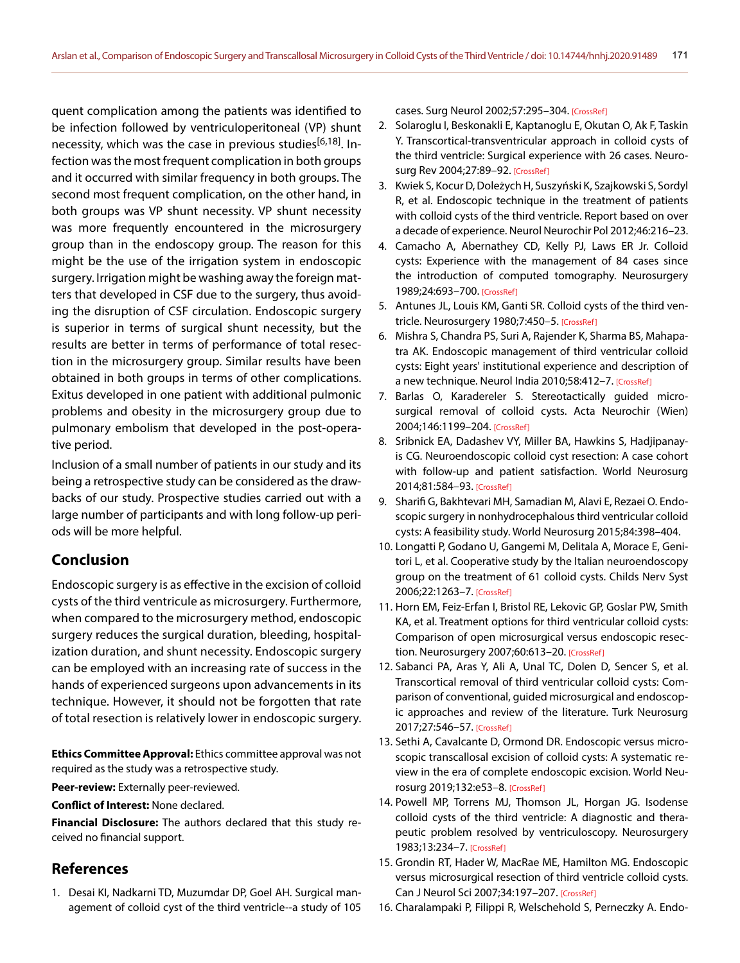quent complication among the patients was identified to be infection followed by ventriculoperitoneal (VP) shunt necessity, which was the case in previous studies<sup>[6,18]</sup>. Infection was the most frequent complication in both groups and it occurred with similar frequency in both groups. The second most frequent complication, on the other hand, in both groups was VP shunt necessity. VP shunt necessity was more frequently encountered in the microsurgery group than in the endoscopy group. The reason for this might be the use of the irrigation system in endoscopic surgery. Irrigation might be washing away the foreign matters that developed in CSF due to the surgery, thus avoiding the disruption of CSF circulation. Endoscopic surgery is superior in terms of surgical shunt necessity, but the results are better in terms of performance of total resection in the microsurgery group. Similar results have been obtained in both groups in terms of other complications. Exitus developed in one patient with additional pulmonic problems and obesity in the microsurgery group due to pulmonary embolism that developed in the post-operative period.

Inclusion of a small number of patients in our study and its being a retrospective study can be considered as the drawbacks of our study. Prospective studies carried out with a large number of participants and with long follow-up periods will be more helpful.

# **Conclusion**

Endoscopic surgery is as effective in the excision of colloid cysts of the third ventricule as microsurgery. Furthermore, when compared to the microsurgery method, endoscopic surgery reduces the surgical duration, bleeding, hospitalization duration, and shunt necessity. Endoscopic surgery can be employed with an increasing rate of success in the hands of experienced surgeons upon advancements in its technique. However, it should not be forgotten that rate of total resection is relatively lower in endoscopic surgery.

**Ethics Committee Approval:** Ethics committee approval was not required as the study was a retrospective study.

**Peer-review:** Externally peer-reviewed.

**Conflict of Interest:** None declared.

**Financial Disclosure:** The authors declared that this study received no financial support.

# **References**

1. Desai KI, Nadkarni TD, Muzumdar DP, Goel AH. Surgical management of colloid cyst of the third ventricle--a study of 105 cases. Surg Neurol 2002;57:295–304. [\[CrossRef\]](https://doi.org/10.1016/S0090-3019(02)00701-2)

- 2. Solaroglu I, Beskonakli E, Kaptanoglu E, Okutan O, Ak F, Taskin Y. Transcortical-transventricular approach in colloid cysts of the third ventricle: Surgical experience with 26 cases. Neurosurg Rev 2004;27:89–92. [\[CrossRef\]](https://doi.org/10.1007/s10143-003-0309-2)
- 3. Kwiek S, Kocur D, Doleżych H, Suszyński K, Szajkowski S, Sordyl R, et al. Endoscopic technique in the treatment of patients with colloid cysts of the third ventricle. Report based on over a decade of experience. Neurol Neurochir Po[l 2012;46:216–23.](https://doi.org/10.5114/ninp.2012.29129)
- 4. Camacho A, Abernathey CD, Kelly PJ, Laws ER Jr. Colloid cysts: Experience with the management of 84 cases since the introduction of computed tomography. Neurosurgery 1989;24:693–700. [\[CrossRef\]](https://doi.org/10.1227/00006123-198905000-00006)
- 5. Antunes JL, Louis KM, Ganti SR. Colloid cysts of the third ven-tricle. Neurosurgery 1980;7:450-5. [\[CrossRef\]](https://doi.org/10.1227/00006123-198011000-00004)
- 6. Mishra S, Chandra PS, Suri A, Rajender K, Sharma BS, Mahapatra AK. Endoscopic management of third ventricular colloid cysts: Eight years' institutional experience and description of a new technique. Neurol India 2010;58:412-7. [\[CrossRef\]](https://doi.org/10.4103/0028-3886.66222)
- 7. Barlas O, Karadereler S. Stereotactically guided microsurgical removal of colloid cysts. Acta Neurochir (Wien) 2004;146:1199–204. [\[CrossRef\]](https://doi.org/10.1007/s00701-004-0367-4)
- 8. Sribnick EA, Dadashev VY, Miller BA, Hawkins S, Hadjipanayis CG. Neuroendoscopic colloid cyst resection: A case cohort with follow-up and patient satisfaction. World Neurosurg 2014;81:584–93[. \[CrossRef\]](https://doi.org/10.1016/j.wneu.2013.12.006)
- 9. Sharifi G, Bakhtevari MH, Samadian M, Alavi E, Rezaei O. Endoscopic surgery in nonhydrocephalous third ventricular colloid cysts: A feasibility study. World Neurosurg [2015;84:398–404.](https://doi.org/10.1016/j.wneu.2015.03.033)
- 10. Longatti P, Godano U, Gangemi M, Delitala A, Morace E, Genitori L, et al. Cooperative study by the Italian neuroendoscopy group on the treatment of 61 colloid cysts. Childs Nerv Syst 2006;22:1263–7. [\[CrossRef\]](https://doi.org/10.1007/s00381-006-0170-z)
- 11. Horn EM, Feiz-Erfan I, Bristol RE, Lekovic GP, Goslar PW, Smith KA, et al. Treatment options for third ventricular colloid cysts: Comparison of open microsurgical versus endoscopic resec-tion. Neurosurgery 2007;60:613-20. [\[CrossRef\]](https://doi.org/10.1227/01.NEU.0000255409.61398.EA)
- 12. Sabanci PA, Aras Y, Ali A, Unal TC, Dolen D, Sencer S, et al. Transcortical removal of third ventricular colloid cysts: Comparison of conventional, guided microsurgical and endoscopic approaches and review of the literature. Turk Neurosurg 2017;27:546–57[. \[CrossRef\]](https://doi.org/10.5137/1019-5149.JTN.17142-16.2)
- 13. Sethi A, Cavalcante D, Ormond DR. Endoscopic versus microscopic transcallosal excision of colloid cysts: A systematic review in the era of complete endoscopic excision. World Neurosurg 2019;132:e53–8. [\[CrossRef\]](https://doi.org/10.1016/j.wneu.2019.08.259)
- 14. Powell MP, Torrens MJ, Thomson JL, Horgan JG. Isodense colloid cysts of the third ventricle: A diagnostic and therapeutic problem resolved by ventriculoscopy. Neurosurgery 1983;13:234–7. [\[CrossRef\]](https://doi.org/10.1097/00006123-198309000-00003)
- 15. Grondin RT, Hader W, MacRae ME, Hamilton MG. Endoscopic versus microsurgical resection of third ventricle colloid cysts. Can J Neurol Sci 2007;34:197–207. [\[CrossRef\]](https://doi.org/10.1017/S0317167100006041)
- 16. Charalampaki P, Filippi R, Welschehold S, Perneczky A. Endo-